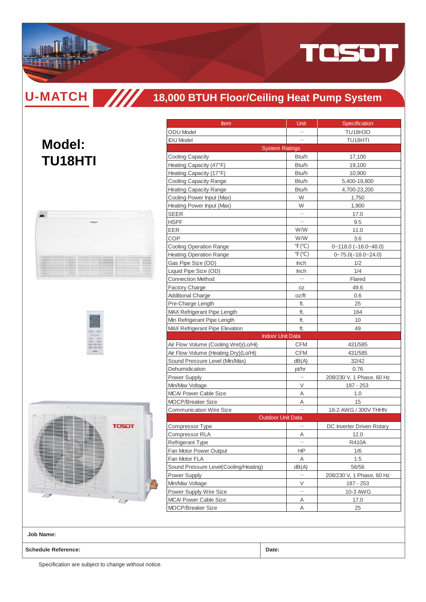

**U-MATCH**

**Model:**

**TU18HTI**

### **TITT 18,000 BTUH Floor/Ceiling Heat Pump System**





| <b>Item</b><br><b>ODU</b> Model<br><b>IDU</b> Model<br><b>System Ratings</b><br><b>Cooling Capacity</b><br>Heating Capacity (47°F)<br>Heating Capacity (17°F)<br>Cooling Capacity Range<br><b>Heating Capacity Range</b><br>Cooling Power Input (Max)<br>Heating Power Input (Max)<br><b>SEER</b><br><b>HSPF</b><br>EER<br>COP<br><b>Cooling Operation Range</b><br><b>Heating Operation Range</b> | Unit<br>Btu/h<br>Btu/h<br>Btu/h<br>Btu/h<br>Btu/h<br>W<br>W<br>W/W<br>W/W<br>$\mathrm{P}(\mathrm{C})$<br>$\degree$ F( $\degree$ C) | Specification<br><b>TU18H3O</b><br>TU18HTI<br>17,100<br>19,100<br>10,900<br>5,400-19,800<br>4,700-23,200<br>1,750<br>1,900<br>17.0<br>9.5<br>11.0<br>3.6<br>$0 - 118.0$ $(-18.0 - 48.0)$ |
|----------------------------------------------------------------------------------------------------------------------------------------------------------------------------------------------------------------------------------------------------------------------------------------------------------------------------------------------------------------------------------------------------|------------------------------------------------------------------------------------------------------------------------------------|------------------------------------------------------------------------------------------------------------------------------------------------------------------------------------------|
|                                                                                                                                                                                                                                                                                                                                                                                                    |                                                                                                                                    |                                                                                                                                                                                          |
|                                                                                                                                                                                                                                                                                                                                                                                                    |                                                                                                                                    |                                                                                                                                                                                          |
|                                                                                                                                                                                                                                                                                                                                                                                                    |                                                                                                                                    |                                                                                                                                                                                          |
|                                                                                                                                                                                                                                                                                                                                                                                                    |                                                                                                                                    |                                                                                                                                                                                          |
|                                                                                                                                                                                                                                                                                                                                                                                                    |                                                                                                                                    |                                                                                                                                                                                          |
|                                                                                                                                                                                                                                                                                                                                                                                                    |                                                                                                                                    |                                                                                                                                                                                          |
|                                                                                                                                                                                                                                                                                                                                                                                                    |                                                                                                                                    |                                                                                                                                                                                          |
|                                                                                                                                                                                                                                                                                                                                                                                                    |                                                                                                                                    |                                                                                                                                                                                          |
|                                                                                                                                                                                                                                                                                                                                                                                                    |                                                                                                                                    |                                                                                                                                                                                          |
|                                                                                                                                                                                                                                                                                                                                                                                                    |                                                                                                                                    |                                                                                                                                                                                          |
|                                                                                                                                                                                                                                                                                                                                                                                                    |                                                                                                                                    |                                                                                                                                                                                          |
|                                                                                                                                                                                                                                                                                                                                                                                                    |                                                                                                                                    |                                                                                                                                                                                          |
|                                                                                                                                                                                                                                                                                                                                                                                                    |                                                                                                                                    |                                                                                                                                                                                          |
|                                                                                                                                                                                                                                                                                                                                                                                                    |                                                                                                                                    |                                                                                                                                                                                          |
|                                                                                                                                                                                                                                                                                                                                                                                                    |                                                                                                                                    |                                                                                                                                                                                          |
|                                                                                                                                                                                                                                                                                                                                                                                                    |                                                                                                                                    |                                                                                                                                                                                          |
|                                                                                                                                                                                                                                                                                                                                                                                                    |                                                                                                                                    | $0 - 75.0(-18.0 - 24.0)$                                                                                                                                                                 |
| Gas Pipe Size (OD)                                                                                                                                                                                                                                                                                                                                                                                 | <b>Inch</b>                                                                                                                        | 1/2                                                                                                                                                                                      |
| Liquid Pipe Size (OD)                                                                                                                                                                                                                                                                                                                                                                              | Inch                                                                                                                               | 1/4                                                                                                                                                                                      |
| <b>Connection Method</b>                                                                                                                                                                                                                                                                                                                                                                           |                                                                                                                                    | Flared                                                                                                                                                                                   |
| <b>Factory Charge</b>                                                                                                                                                                                                                                                                                                                                                                              | ΟZ                                                                                                                                 | 49.6                                                                                                                                                                                     |
| <b>Additional Charge</b>                                                                                                                                                                                                                                                                                                                                                                           | oz/ft                                                                                                                              | 0.6                                                                                                                                                                                      |
| Pre-Charge Length                                                                                                                                                                                                                                                                                                                                                                                  | ft.                                                                                                                                | 25                                                                                                                                                                                       |
| MAX Refrigerant Pipe Length                                                                                                                                                                                                                                                                                                                                                                        | ft.                                                                                                                                | 164                                                                                                                                                                                      |
| Min Refrigerant Pipe Length                                                                                                                                                                                                                                                                                                                                                                        | ft.                                                                                                                                | 10                                                                                                                                                                                       |
| <b>MAX Refrigerant Pipe Elevation</b>                                                                                                                                                                                                                                                                                                                                                              | ft.                                                                                                                                | 49                                                                                                                                                                                       |
| <b>Indoor Unit Data</b>                                                                                                                                                                                                                                                                                                                                                                            |                                                                                                                                    |                                                                                                                                                                                          |
| Air Flow Volume (Cooling Wet)(Lo/Hi)                                                                                                                                                                                                                                                                                                                                                               | <b>CFM</b>                                                                                                                         | 431/585                                                                                                                                                                                  |
| Air Flow Volume (Heating Dry)(Lo/Hi)                                                                                                                                                                                                                                                                                                                                                               | <b>CFM</b>                                                                                                                         | 431/585                                                                                                                                                                                  |
| Sound Pressure Level (Min/Max)                                                                                                                                                                                                                                                                                                                                                                     | dB(A)                                                                                                                              | 32/42                                                                                                                                                                                    |
| Dehumidication                                                                                                                                                                                                                                                                                                                                                                                     | pt/hr                                                                                                                              | 0.76                                                                                                                                                                                     |
| Power Supply                                                                                                                                                                                                                                                                                                                                                                                       |                                                                                                                                    | 208/230 V, 1 Phase, 60 Hz                                                                                                                                                                |
| Min/Max Voltage                                                                                                                                                                                                                                                                                                                                                                                    | V                                                                                                                                  | 187 - 253                                                                                                                                                                                |
| <b>MCA/ Power Cable Size</b>                                                                                                                                                                                                                                                                                                                                                                       | Α                                                                                                                                  | 1.0                                                                                                                                                                                      |
| <b>MOCP/Breaker Size</b>                                                                                                                                                                                                                                                                                                                                                                           | Α                                                                                                                                  | 15                                                                                                                                                                                       |
| <b>Communication Wire Size</b>                                                                                                                                                                                                                                                                                                                                                                     |                                                                                                                                    | 18-2 AWG / 300V THHN                                                                                                                                                                     |
| <b>Outdoor Unit Data</b>                                                                                                                                                                                                                                                                                                                                                                           |                                                                                                                                    |                                                                                                                                                                                          |
| Compressor Type                                                                                                                                                                                                                                                                                                                                                                                    |                                                                                                                                    | DC Inverter Driven Rotary                                                                                                                                                                |
| Compressor RLA                                                                                                                                                                                                                                                                                                                                                                                     | Α                                                                                                                                  | 12.0                                                                                                                                                                                     |
| <b>Refrigerant Type</b>                                                                                                                                                                                                                                                                                                                                                                            |                                                                                                                                    | <b>R410A</b>                                                                                                                                                                             |
| Fan Motor Power Output                                                                                                                                                                                                                                                                                                                                                                             | ΗP                                                                                                                                 | 1/6                                                                                                                                                                                      |
| Fan Motor FLA                                                                                                                                                                                                                                                                                                                                                                                      | Α                                                                                                                                  | 1.5                                                                                                                                                                                      |
| Sound Pressure Level(Cooling/Heating)                                                                                                                                                                                                                                                                                                                                                              | dB(A)                                                                                                                              | 56/56                                                                                                                                                                                    |
| Power Supply                                                                                                                                                                                                                                                                                                                                                                                       |                                                                                                                                    | 208/230 V, 1 Phase, 60 Hz                                                                                                                                                                |
| Min/Max Voltage                                                                                                                                                                                                                                                                                                                                                                                    | V                                                                                                                                  | 187 - 253                                                                                                                                                                                |
| Power Supply Wire Size                                                                                                                                                                                                                                                                                                                                                                             | $\equiv$                                                                                                                           | 10-3 AWG                                                                                                                                                                                 |
| MCA/ Power Cable Size                                                                                                                                                                                                                                                                                                                                                                              | Α                                                                                                                                  | 17.0                                                                                                                                                                                     |
| MOCP/Breaker Size                                                                                                                                                                                                                                                                                                                                                                                  | Α                                                                                                                                  | 25                                                                                                                                                                                       |
|                                                                                                                                                                                                                                                                                                                                                                                                    |                                                                                                                                    |                                                                                                                                                                                          |

**Job Name:**

**Schedule Reference: Date:**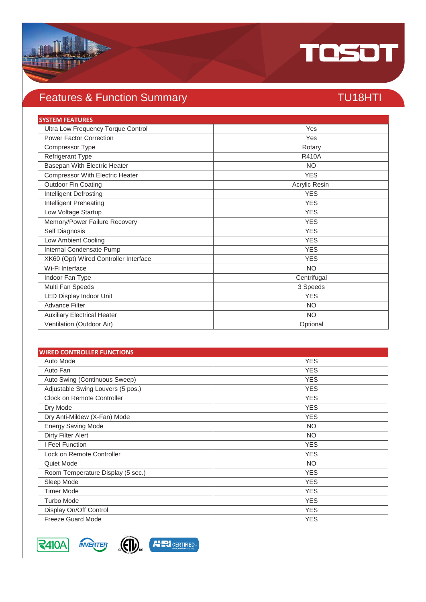

# Features & Function Summary TU18HTI

| <b>SYSTEM FEATURES</b>                 |               |
|----------------------------------------|---------------|
| Ultra Low Frequency Torque Control     | Yes           |
| <b>Power Factor Correction</b>         | Yes           |
| Compressor Type                        | Rotary        |
| Refrigerant Type                       | <b>R410A</b>  |
| Basepan With Electric Heater           | <b>NO</b>     |
| <b>Compressor With Electric Heater</b> | <b>YES</b>    |
| Outdoor Fin Coating                    | Acrylic Resin |
| <b>Intelligent Defrosting</b>          | <b>YES</b>    |
| Intelligent Preheating                 | <b>YES</b>    |
| Low Voltage Startup                    | <b>YES</b>    |
| Memory/Power Failure Recovery          | <b>YES</b>    |
| Self Diagnosis                         | <b>YES</b>    |
| Low Ambient Cooling                    | <b>YES</b>    |
| Internal Condensate Pump               | <b>YES</b>    |
| XK60 (Opt) Wired Controller Interface  | <b>YES</b>    |
| Wi-Fi Interface                        | <b>NO</b>     |
| Indoor Fan Type                        | Centrifugal   |
| Multi Fan Speeds                       | 3 Speeds      |
| <b>LED Display Indoor Unit</b>         | <b>YES</b>    |
| <b>Advance Filter</b>                  | <b>NO</b>     |
| <b>Auxiliary Electrical Heater</b>     | <b>NO</b>     |
| Ventilation (Outdoor Air)              | Optional      |

| <b>WIRED CONTROLLER FUNCTIONS</b> |            |
|-----------------------------------|------------|
| Auto Mode                         | <b>YES</b> |
| Auto Fan                          | <b>YES</b> |
| Auto Swing (Continuous Sweep)     | <b>YES</b> |
| Adjustable Swing Louvers (5 pos.) | <b>YES</b> |
| Clock on Remote Controller        | <b>YES</b> |
| Dry Mode                          | <b>YES</b> |
| Dry Anti-Mildew (X-Fan) Mode      | <b>YES</b> |
| <b>Energy Saving Mode</b>         | <b>NO</b>  |
| Dirty Filter Alert                | <b>NO</b>  |
| I Feel Function                   | <b>YES</b> |
| Lock on Remote Controller         | <b>YES</b> |
| Quiet Mode                        | <b>NO</b>  |
| Room Temperature Display (5 sec.) | <b>YES</b> |
| Sleep Mode                        | <b>YES</b> |
| <b>Timer Mode</b>                 | <b>YES</b> |
| <b>Turbo Mode</b>                 | <b>YES</b> |
| Display On/Off Control            | <b>YES</b> |
| <b>Freeze Guard Mode</b>          | <b>YES</b> |



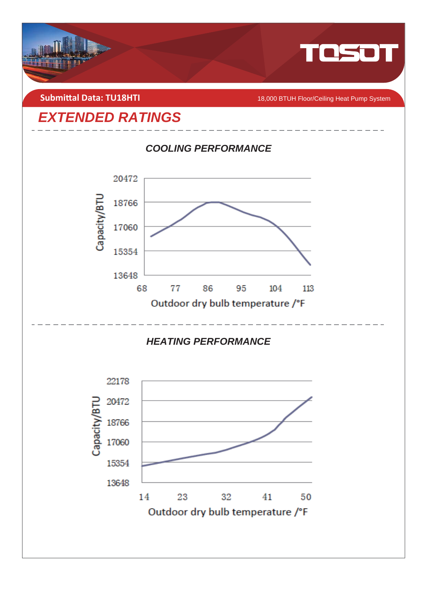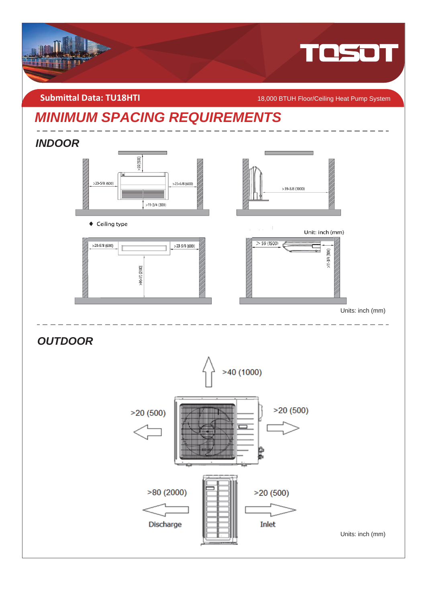

**Submittal Data: TU18HTI** *COMBITI* **CONGLISION CONGLISION CONGLISION CONGLISION CONGLISION OF TUH Floor/Ceiling Heat Pump System** 

# *MINIMUM SPACING REQUIREMENTS*

## *INDOOR*



◆ Ceiling type





Unit: inch (mm)



Units: inch (mm)

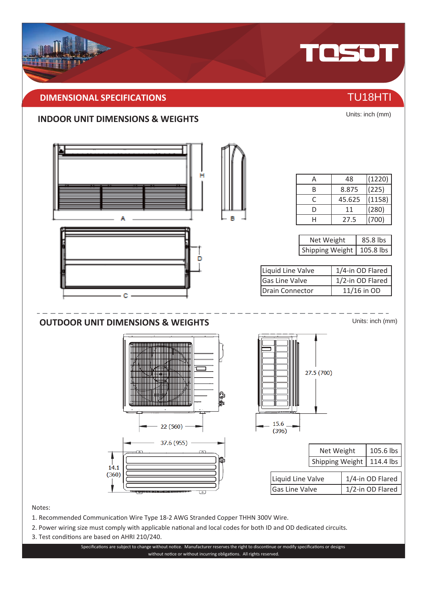## **DIMENSIONAL SPECIFICATIONS** THE CONSTRUCTION OF TU18HTI

### **INDOOR UNIT DIMENSIONS & WEIGHTS**



Notes:

- 1. Recommended Communication Wire Type 18-2 AWG Stranded Copper THHN 300V Wire.
- 2. Power wiring size must comply with applicable national and local codes for both ID and OD dedicated circuits.
- 3. Test conditions are based on AHRI 210/240.

Specifications are subject to change without notice. Manufacturer reserves the right to discontinue or modify specifications or designs without notice or without incurring obligations. All rights reserved.



Units: inch (mm)

TOSOT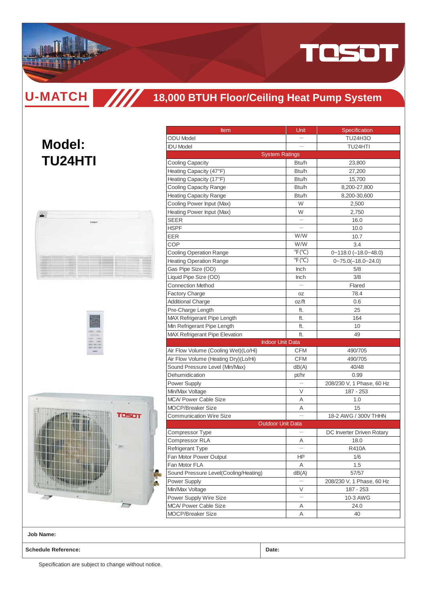

**U-MATCH TITT** 

# **18,000 BTUH Floor/Ceiling Heat Pump System**

# **Model: TU24HTI**







| <b>Item</b>                           | Unit                      | Specification             |  |
|---------------------------------------|---------------------------|---------------------------|--|
| <b>ODU</b> Model                      |                           | <b>TU24H3O</b>            |  |
| <b>IDU</b> Model                      |                           | TU24HTI                   |  |
|                                       | <b>System Ratings</b>     |                           |  |
| <b>Cooling Capacity</b>               | Btu/h                     | 23,800                    |  |
|                                       | Btu/h                     |                           |  |
| Heating Capacity (47°F)               | Btu/h                     | 27,200                    |  |
| Heating Capacity (17°F)               |                           | 15,700                    |  |
| Cooling Capacity Range                | Btu/h                     | 8,200-27,800              |  |
| <b>Heating Capacity Range</b>         | Btu/h                     | 8,200-30,600              |  |
| Cooling Power Input (Max)             | W<br>W                    | 2,500                     |  |
| Heating Power Input (Max)             |                           | 2,750                     |  |
| SEER                                  |                           | 16.0                      |  |
| <b>HSPF</b>                           |                           | 10.0                      |  |
| EER                                   | W/W                       | 10.7                      |  |
| COP                                   | W/W                       | 3.4                       |  |
| <b>Cooling Operation Range</b>        | $\degree$ F( $\degree$ C) | $0 - 118.0$ (-18.0~48.0)  |  |
| <b>Heating Operation Range</b>        | $\degree$ F $(\degree$ C) | $0 - 75.0(-18.0 - 24.0)$  |  |
| Gas Pipe Size (OD)                    | <b>Inch</b>               | 5/8                       |  |
| Liquid Pipe Size (OD)                 | Inch                      | 3/8                       |  |
| <b>Connection Method</b>              |                           | Flared                    |  |
| <b>Factory Charge</b>                 | OΖ                        | 78.4                      |  |
| <b>Additional Charge</b>              | oz/ft                     | 0.6                       |  |
| Pre-Charge Length                     | ft.                       | 25                        |  |
| <b>MAX Refrigerant Pipe Length</b>    | ft.                       | 164                       |  |
| Min Refrigerant Pipe Length           | ft.                       | 10                        |  |
| <b>MAX Refrigerant Pipe Elevation</b> | ft.                       | 49                        |  |
|                                       | <b>Indoor Unit Data</b>   |                           |  |
| Air Flow Volume (Cooling Wet)(Lo/Hi)  | CFM                       | 490/705                   |  |
| Air Flow Volume (Heating Dry)(Lo/Hi)  | <b>CFM</b>                | 490/705                   |  |
| Sound Pressure Level (Min/Max)        | dB(A)                     | 40/48                     |  |
| Dehumidication                        | pt/hr                     | 0.99                      |  |
| <b>Power Supply</b>                   |                           | 208/230 V, 1 Phase, 60 Hz |  |
| Min/Max Voltage                       | V                         | 187 - 253                 |  |
| <b>MCA/ Power Cable Size</b>          | Α                         | 1.0                       |  |
| <b>MOCP/Breaker Size</b>              | Α                         | 15                        |  |
| <b>Communication Wire Size</b>        |                           | 18-2 AWG / 300V THHN      |  |
|                                       | <b>Outdoor Unit Data</b>  |                           |  |
| Compressor Type                       |                           | DC Inverter Driven Rotary |  |
| <b>Compressor RLA</b>                 | Α                         | 18.0                      |  |
| Refrigerant Type                      |                           | R410A                     |  |
| Fan Motor Power Output                | ΗP                        | 1/6                       |  |
| Fan Motor FLA                         | Α                         | 1.5                       |  |
| Sound Pressure Level(Cooling/Heating) | dB(A)                     | 57/57                     |  |
| Power Supply                          |                           | 208/230 V, 1 Phase, 60 Hz |  |
| Min/Max Voltage                       | V                         | 187 - 253                 |  |
| Power Supply Wire Size                |                           | 10-3 AWG                  |  |
| MCA/ Power Cable Size                 | Α                         | 24.0                      |  |
| MOCP/Breaker Size                     | Α                         | 40                        |  |

**Job Name:**

**Schedule Reference: Date:**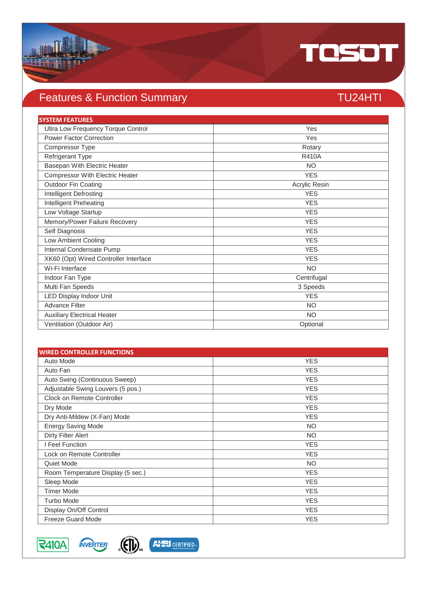

# Features & Function Summary TU24HTI

| <b>SYSTEM FEATURES</b>                 |               |
|----------------------------------------|---------------|
| Ultra Low Frequency Torque Control     | Yes           |
| <b>Power Factor Correction</b>         | Yes           |
| Compressor Type                        | Rotary        |
| Refrigerant Type                       | <b>R410A</b>  |
| Basepan With Electric Heater           | <b>NO</b>     |
| <b>Compressor With Electric Heater</b> | <b>YES</b>    |
| Outdoor Fin Coating                    | Acrylic Resin |
| <b>Intelligent Defrosting</b>          | <b>YES</b>    |
| Intelligent Preheating                 | <b>YES</b>    |
| Low Voltage Startup                    | <b>YES</b>    |
| Memory/Power Failure Recovery          | <b>YES</b>    |
| Self Diagnosis                         | <b>YES</b>    |
| Low Ambient Cooling                    | <b>YES</b>    |
| Internal Condensate Pump               | <b>YES</b>    |
| XK60 (Opt) Wired Controller Interface  | <b>YES</b>    |
| Wi-Fi Interface                        | <b>NO</b>     |
| Indoor Fan Type                        | Centrifugal   |
| Multi Fan Speeds                       | 3 Speeds      |
| <b>LED Display Indoor Unit</b>         | <b>YES</b>    |
| <b>Advance Filter</b>                  | <b>NO</b>     |
| <b>Auxiliary Electrical Heater</b>     | <b>NO</b>     |
| Ventilation (Outdoor Air)              | Optional      |

| <b>WIRED CONTROLLER FUNCTIONS</b> |            |
|-----------------------------------|------------|
| Auto Mode                         | <b>YES</b> |
| Auto Fan                          | <b>YES</b> |
| Auto Swing (Continuous Sweep)     | <b>YES</b> |
| Adjustable Swing Louvers (5 pos.) | <b>YES</b> |
| Clock on Remote Controller        | <b>YES</b> |
| Dry Mode                          | <b>YES</b> |
| Dry Anti-Mildew (X-Fan) Mode      | <b>YES</b> |
| <b>Energy Saving Mode</b>         | <b>NO</b>  |
| Dirty Filter Alert                | <b>NO</b>  |
| I Feel Function                   | <b>YES</b> |
| Lock on Remote Controller         | <b>YES</b> |
| Quiet Mode                        | <b>NO</b>  |
| Room Temperature Display (5 sec.) | <b>YES</b> |
| Sleep Mode                        | <b>YES</b> |
| <b>Timer Mode</b>                 | <b>YES</b> |
| <b>Turbo Mode</b>                 | <b>YES</b> |
| Display On/Off Control            | <b>YES</b> |
| <b>Freeze Guard Mode</b>          | <b>YES</b> |



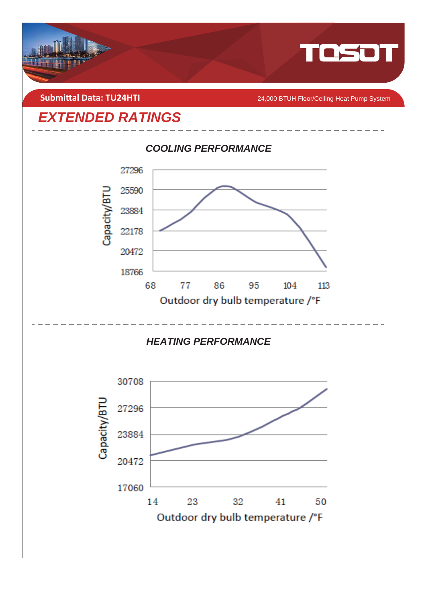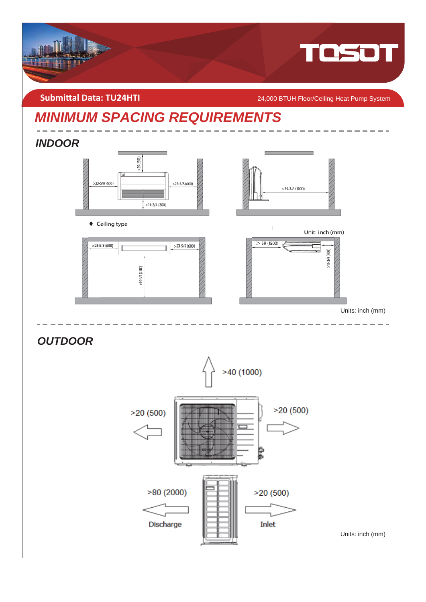

**Submittal Data: TU24HTI** 24,000 BTUH Floor/Ceiling Heat Pump System

# *MINIMUM SPACING REQUIREMENTS*

## *INDOOR*



◆ Ceiling type





Unit: inch (mm)



Units: inch (mm)

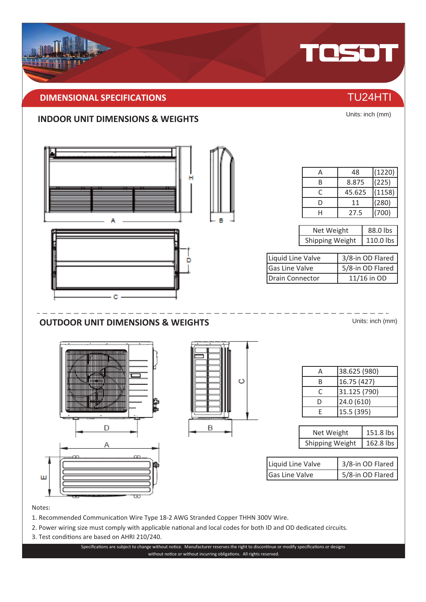## **DIMENSIONAL SPECIFICATIONS** THE CONSTRUCTION OF THE CONSTRUCTION OF TU24HTI

### **INDOOR UNIT DIMENSIONS & WEIGHTS**



### Notes:

- 1. Recommended Communication Wire Type 18-2 AWG Stranded Copper THHN 300V Wire.
- 2. Power wiring size must comply with applicable national and local codes for both ID and OD dedicated circuits.
- 3. Test conditions are based on AHRI 210/240.

Specifications are subject to change without notice. Manufacturer reserves the right to discontinue or modify specifications or designs without notice or without incurring obligations. All rights reserved.



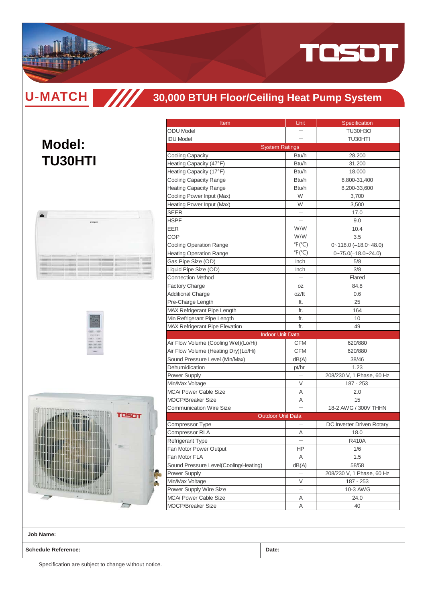

**U-MATCH TITT** 

**Model:**

**TU30HTI**

# **30,000 BTUH Floor/Ceiling Heat Pump System**

| <b>Item</b><br><b>ODU</b> Model       | Unit                      | Specification             |  |
|---------------------------------------|---------------------------|---------------------------|--|
| <b>IDU Model</b>                      |                           | <b>TU30H3O</b><br>TU30HTI |  |
|                                       | <b>System Ratings</b>     |                           |  |
| <b>Cooling Capacity</b>               | Btu/h                     | 28,200                    |  |
| Heating Capacity (47°F)               | Btu/h                     | 31,200                    |  |
|                                       | Btu/h                     |                           |  |
| Heating Capacity (17°F)               |                           | 18,000                    |  |
| <b>Cooling Capacity Range</b>         | Btu/h<br>Btu/h            | 8,800-31,400              |  |
| <b>Heating Capacity Range</b>         |                           | 8,200-33,600              |  |
| Cooling Power Input (Max)             | W                         | 3,700<br>3,500<br>17.0    |  |
| Heating Power Input (Max)             | W                         |                           |  |
| SEER                                  |                           |                           |  |
| <b>HSPF</b>                           |                           | 9.0                       |  |
| EER                                   | W/W<br>W/W                | 10.4                      |  |
| COP                                   |                           | 3.5                       |  |
| <b>Cooling Operation Range</b>        | $\degree$ F( $\degree$ C) | $0 - 118.0$ (-18.0~48.0)  |  |
| <b>Heating Operation Range</b>        | $\degree$ F( $\degree$ C) | $0 - 75.0(-18.0 - 24.0)$  |  |
| Gas Pipe Size (OD)                    | <b>Inch</b>               | 5/8                       |  |
| Liquid Pipe Size (OD)                 | <b>Inch</b>               | 3/8                       |  |
| <b>Connection Method</b>              |                           | Flared                    |  |
| <b>Factory Charge</b>                 | OZ                        | 84.8                      |  |
| <b>Additional Charge</b>              | oz/ft                     | 0.6                       |  |
| Pre-Charge Length                     | ft.                       | 25                        |  |
| MAX Refrigerant Pipe Length           | ft.                       | 164                       |  |
| Min Refrigerant Pipe Length           | ft.                       | 10                        |  |
| <b>MAX Refrigerant Pipe Elevation</b> | ft.                       | 49                        |  |
|                                       | <b>Indoor Unit Data</b>   |                           |  |
| Air Flow Volume (Cooling Wet)(Lo/Hi)  | <b>CFM</b>                | 620/880                   |  |
| Air Flow Volume (Heating Dry)(Lo/Hi)  | <b>CFM</b>                | 620/880                   |  |
| Sound Pressure Level (Min/Max)        | dB(A)                     | 38/46                     |  |
| Dehumidication                        | pt/hr                     | 1.23                      |  |
| <b>Power Supply</b>                   |                           | 208/230 V, 1 Phase, 60 Hz |  |
| Min/Max Voltage                       | V                         | 187 - 253                 |  |
| <b>MCA/ Power Cable Size</b>          | A                         | 2.0                       |  |
| <b>MOCP/Breaker Size</b>              | Α                         | 15                        |  |
| <b>Communication Wire Size</b>        |                           | 18-2 AWG / 300V THHN      |  |
|                                       | <b>Outdoor Unit Data</b>  |                           |  |
| Compressor Type                       |                           | DC Inverter Driven Rotary |  |
| <b>Compressor RLA</b>                 | A                         | 18.0                      |  |
| <b>Refrigerant Type</b>               | $\overline{\phantom{0}}$  | <b>R410A</b>              |  |
| Fan Motor Power Output                | ΗP                        | 1/6                       |  |
| Fan Motor FLA                         | Α                         | 1.5                       |  |
| Sound Pressure Level(Cooling/Heating) | dB(A)                     | 58/58                     |  |
| Power Supply                          |                           | 208/230 V, 1 Phase, 60 Hz |  |
| Min/Max Voltage                       | V                         | 187 - 253                 |  |
|                                       |                           | 10-3 AWG                  |  |
| Power Supply Wire Size                |                           |                           |  |
| MCA/ Power Cable Size                 | Α                         | 24.0                      |  |

**Job Name:**

**Schedule Reference: Date:**

<u>TITTI TITTI T</u>

Specification are subject to change without notice.

۷

**TOSOT**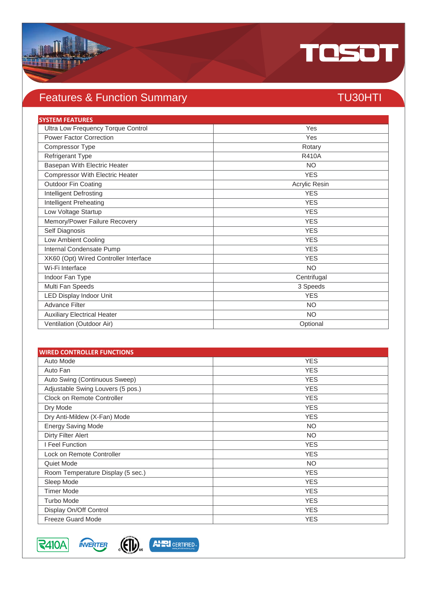

# Features & Function Summary TU30HTI

| <b>SYSTEM FEATURES</b>                 |               |
|----------------------------------------|---------------|
| Ultra Low Frequency Torque Control     | Yes           |
| <b>Power Factor Correction</b>         | Yes           |
| Compressor Type                        | Rotary        |
| Refrigerant Type                       | <b>R410A</b>  |
| Basepan With Electric Heater           | <b>NO</b>     |
| <b>Compressor With Electric Heater</b> | <b>YES</b>    |
| <b>Outdoor Fin Coating</b>             | Acrylic Resin |
| Intelligent Defrosting                 | <b>YES</b>    |
| Intelligent Preheating                 | <b>YES</b>    |
| Low Voltage Startup                    | <b>YES</b>    |
| Memory/Power Failure Recovery          | <b>YES</b>    |
| Self Diagnosis                         | <b>YES</b>    |
| Low Ambient Cooling                    | <b>YES</b>    |
| Internal Condensate Pump               | <b>YES</b>    |
| XK60 (Opt) Wired Controller Interface  | <b>YES</b>    |
| Wi-Fi Interface                        | <b>NO</b>     |
| Indoor Fan Type                        | Centrifugal   |
| Multi Fan Speeds                       | 3 Speeds      |
| <b>LED Display Indoor Unit</b>         | <b>YES</b>    |
| <b>Advance Filter</b>                  | <b>NO</b>     |
| <b>Auxiliary Electrical Heater</b>     | <b>NO</b>     |
| Ventilation (Outdoor Air)              | Optional      |

| <b>WIRED CONTROLLER FUNCTIONS</b> |            |
|-----------------------------------|------------|
| Auto Mode                         | <b>YES</b> |
| Auto Fan                          | <b>YES</b> |
| Auto Swing (Continuous Sweep)     | <b>YES</b> |
| Adjustable Swing Louvers (5 pos.) | <b>YES</b> |
| Clock on Remote Controller        | <b>YES</b> |
| Dry Mode                          | <b>YES</b> |
| Dry Anti-Mildew (X-Fan) Mode      | <b>YES</b> |
| <b>Energy Saving Mode</b>         | <b>NO</b>  |
| Dirty Filter Alert                | <b>NO</b>  |
| I Feel Function                   | <b>YES</b> |
| Lock on Remote Controller         | <b>YES</b> |
| Quiet Mode                        | <b>NO</b>  |
| Room Temperature Display (5 sec.) | <b>YES</b> |
| Sleep Mode                        | <b>YES</b> |
| <b>Timer Mode</b>                 | <b>YES</b> |
| <b>Turbo Mode</b>                 | <b>YES</b> |
| Display On/Off Control            | <b>YES</b> |
| <b>Freeze Guard Mode</b>          | <b>YES</b> |



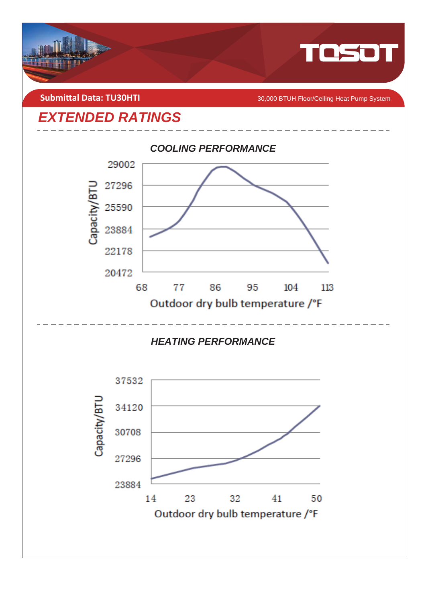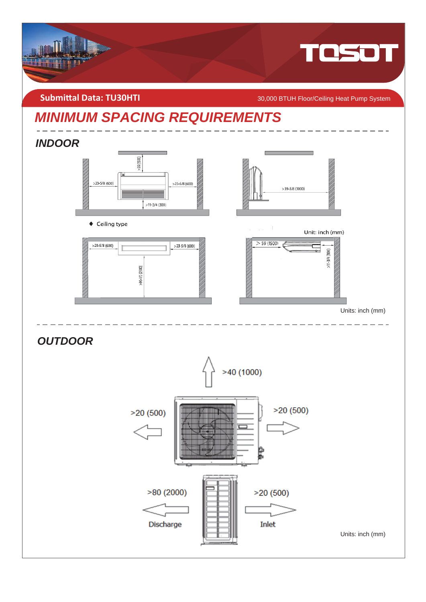

**Submittal Data: TU30HTI** *COMBITI* **COMBITION CONGLISION BTUH Floor/Ceiling Heat Pump System** 

# *MINIMUM SPACING REQUIREMENTS*

## *INDOOR*



◆ Ceiling type





Unit: inch (mm)



Units: inch (mm)

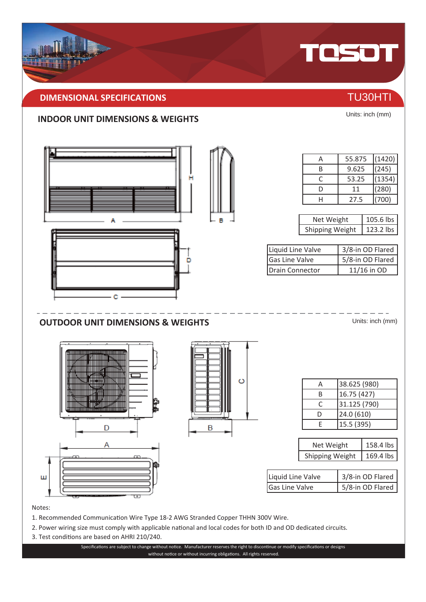## **DIMENSIONAL SPECIFICATIONS** THE CONSTRUCTION OF TU30HTI

### **INDOOR UNIT DIMENSIONS & WEIGHTS**



### Notes:

- 1. Recommended Communication Wire Type 18-2 AWG Stranded Copper THHN 300V Wire.
- 2. Power wiring size must comply with applicable national and local codes for both ID and OD dedicated circuits.
- 3. Test conditions are based on AHRI 210/240.

Specifications are subject to change without notice. Manufacturer reserves the right to discontinue or modify specifications or designs without notice or without incurring obligations. All rights reserved.



TOSOT

Units: inch (mm)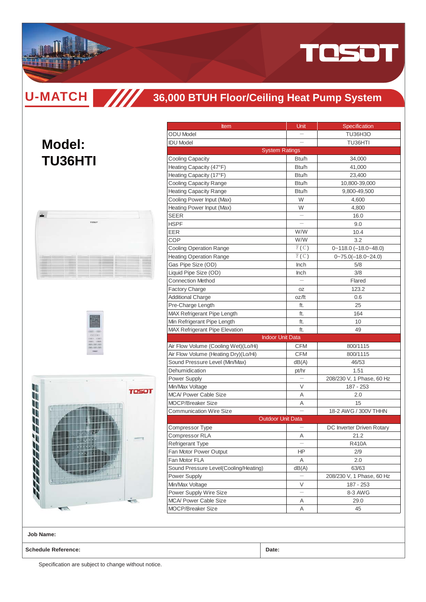

**U-MATCH**

**Model:**

**TU36HTI**

## **36,000 BTUH Floor/Ceiling Heat Pump System**

|                                                                                                       |                                                | TOSCIT                      |                               |                              |                    |        |
|-------------------------------------------------------------------------------------------------------|------------------------------------------------|-----------------------------|-------------------------------|------------------------------|--------------------|--------|
|                                                                                                       |                                                |                             |                               |                              |                    |        |
|                                                                                                       |                                                |                             |                               |                              |                    |        |
|                                                                                                       |                                                |                             |                               |                              |                    |        |
|                                                                                                       |                                                |                             |                               |                              |                    |        |
|                                                                                                       |                                                |                             |                               |                              |                    |        |
|                                                                                                       |                                                |                             |                               |                              |                    |        |
|                                                                                                       |                                                |                             |                               |                              |                    |        |
| --                                                                                                    | $-1$                                           |                             |                               |                              | --                 | $\sim$ |
| --<br>--<br>--                                                                                        | <br>                                           | <br><br>--                  | --<br>--                      |                              | --<br>--<br>$-100$ | --<br> |
| --                                                                                                    |                                                |                             | --                            | -                            | or to              | er in  |
| --<br>                                                                                                | --                                             | <br>                        | --<br>--                      | -<br>$-$                     | --<br>--           |        |
| --<br>$-$                                                                                             | --<br><br>                                     | --<br>$-$                   | --<br>$-11$                   | $\sim$<br>-                  | --<br>--           |        |
| ---<br>---<br>-<br>--<br><b>COLL</b><br>---<br>--<br><b>STATISTICS</b><br><b>CONTRACTOR</b><br>$\sim$ | <b>Holland</b><br><b>CALL CALL</b><br>۰<br>$-$ | $\sim$<br><b>STATE</b><br>÷ | $-1$<br><b>CONTRACT</b><br>-- | -<br>$\frac{1}{2}$<br>$\sim$ | $-1$<br><br>--     |        |

////



| <b>Item</b>                                     | Unit                     | Specification                |
|-------------------------------------------------|--------------------------|------------------------------|
| <b>ODU</b> Model                                |                          | <b>TU36H3O</b>               |
| <b>IDU</b> Model                                |                          | TU36HTI                      |
|                                                 | <b>System Ratings</b>    |                              |
| <b>Cooling Capacity</b>                         | Btu/h                    | 34,000                       |
| Heating Capacity (47°F)                         | Btu/h                    | 41,000                       |
| Heating Capacity (17°F)                         | Btu/h                    | 23,400                       |
| <b>Cooling Capacity Range</b>                   | Btu/h                    | 10,800-39,000                |
| <b>Heating Capacity Range</b>                   | Btu/h                    | 9,800-49,500                 |
| Cooling Power Input (Max)                       | W                        | 4,600                        |
| Heating Power Input (Max)                       | W                        | 4,800                        |
| SEER                                            |                          | 16.0                         |
| <b>HSPF</b>                                     |                          | 9.0                          |
| EER                                             | W/W                      | 10.4                         |
| COP                                             | W/W                      | 3.2                          |
| <b>Cooling Operation Range</b>                  | F(C)                     | $0 - 118.0$ $(-18.0 - 48.0)$ |
| <b>Heating Operation Range</b>                  | F(C)                     | $0 - 75.0(-18.0 - 24.0)$     |
| Gas Pipe Size (OD)                              | <b>Inch</b>              | 5/8                          |
| Liquid Pipe Size (OD)                           | <b>Inch</b>              | 3/8                          |
| <b>Connection Method</b>                        |                          | Flared                       |
| <b>Factory Charge</b>                           | 0Z                       | 123.2                        |
| <b>Additional Charge</b>                        | oz/ft                    | 0.6                          |
| Pre-Charge Length                               | ft.                      | 25                           |
| MAX Refrigerant Pipe Length                     | ft.                      | 164                          |
| Min Refrigerant Pipe Length                     | ft.                      | 10                           |
| <b>MAX Refrigerant Pipe Elevation</b>           | ft.                      | 49                           |
|                                                 | <b>Indoor Unit Data</b>  |                              |
| Air Flow Volume (Cooling Wet)(Lo/Hi)            | <b>CFM</b>               | 800/1115                     |
| Air Flow Volume (Heating Dry)(Lo/Hi)            | <b>CFM</b>               | 800/1115                     |
| Sound Pressure Level (Min/Max)                  | dB(A)                    | 46/53                        |
| Dehumidication                                  |                          | 1.51                         |
|                                                 | pt/hr                    |                              |
| <b>Power Supply</b>                             |                          | 208/230 V, 1 Phase, 60 Hz    |
| Min/Max Voltage<br><b>MCA/ Power Cable Size</b> | V                        | 187 - 253                    |
|                                                 | Α                        | 2.0                          |
| <b>MOCP/Breaker Size</b>                        | Α                        | 15                           |
| <b>Communication Wire Size</b>                  | <b>Outdoor Unit Data</b> | 18-2 AWG / 300V THHN         |
|                                                 |                          |                              |
| Compressor Type                                 |                          | DC Inverter Driven Rotary    |
| Compressor RLA                                  | Α                        | 21.2                         |
| Refrigerant Type                                |                          | <b>R410A</b>                 |
| Fan Motor Power Output                          | HP.                      | 2/9                          |
| Fan Motor FLA                                   | Α                        | 2.0                          |
| Sound Pressure Level(Cooling/Heating)           | dB(A)                    | 63/63                        |
| Power Supply                                    |                          | 208/230 V, 1 Phase, 60 Hz    |
| Min/Max Voltage                                 | V                        | 187 - 253                    |
| Power Supply Wire Size                          |                          | 8-3 AWG                      |
| <b>MCA/ Power Cable Size</b>                    | Α                        | 29.0                         |
| <b>MOCP/Breaker Size</b>                        | Α                        | 45                           |

**Job Name:**

**Schedule Reference: Date:**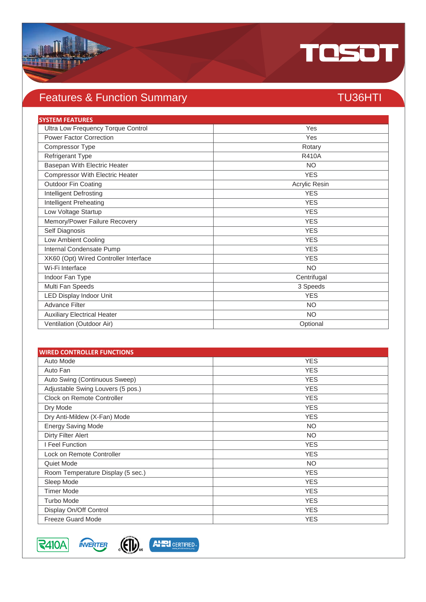

# Features & Function Summary TU36HTI

| <b>SYSTEM FEATURES</b>                 |               |
|----------------------------------------|---------------|
| Ultra Low Frequency Torque Control     | Yes           |
| <b>Power Factor Correction</b>         | Yes           |
| Compressor Type                        | Rotary        |
| Refrigerant Type                       | <b>R410A</b>  |
| Basepan With Electric Heater           | <b>NO</b>     |
| <b>Compressor With Electric Heater</b> | <b>YES</b>    |
| <b>Outdoor Fin Coating</b>             | Acrylic Resin |
| Intelligent Defrosting                 | <b>YES</b>    |
| Intelligent Preheating                 | <b>YES</b>    |
| Low Voltage Startup                    | <b>YES</b>    |
| Memory/Power Failure Recovery          | <b>YES</b>    |
| Self Diagnosis                         | <b>YES</b>    |
| Low Ambient Cooling                    | <b>YES</b>    |
| Internal Condensate Pump               | <b>YES</b>    |
| XK60 (Opt) Wired Controller Interface  | <b>YES</b>    |
| Wi-Fi Interface                        | <b>NO</b>     |
| Indoor Fan Type                        | Centrifugal   |
| Multi Fan Speeds                       | 3 Speeds      |
| <b>LED Display Indoor Unit</b>         | <b>YES</b>    |
| <b>Advance Filter</b>                  | <b>NO</b>     |
| <b>Auxiliary Electrical Heater</b>     | <b>NO</b>     |
| Ventilation (Outdoor Air)              | Optional      |

| <b>WIRED CONTROLLER FUNCTIONS</b> |            |  |
|-----------------------------------|------------|--|
| Auto Mode                         | <b>YES</b> |  |
| Auto Fan                          | <b>YES</b> |  |
| Auto Swing (Continuous Sweep)     | <b>YES</b> |  |
| Adjustable Swing Louvers (5 pos.) | <b>YES</b> |  |
| Clock on Remote Controller        | <b>YES</b> |  |
| Dry Mode                          | <b>YES</b> |  |
| Dry Anti-Mildew (X-Fan) Mode      | <b>YES</b> |  |
| <b>Energy Saving Mode</b>         | <b>NO</b>  |  |
| Dirty Filter Alert                | <b>NO</b>  |  |
| I Feel Function                   | <b>YES</b> |  |
| Lock on Remote Controller         | <b>YES</b> |  |
| Quiet Mode                        | <b>NO</b>  |  |
| Room Temperature Display (5 sec.) | <b>YES</b> |  |
| Sleep Mode                        | <b>YES</b> |  |
| <b>Timer Mode</b>                 | <b>YES</b> |  |
| <b>Turbo Mode</b>                 | <b>YES</b> |  |
| Display On/Off Control            | <b>YES</b> |  |
| <b>Freeze Guard Mode</b>          | <b>YES</b> |  |



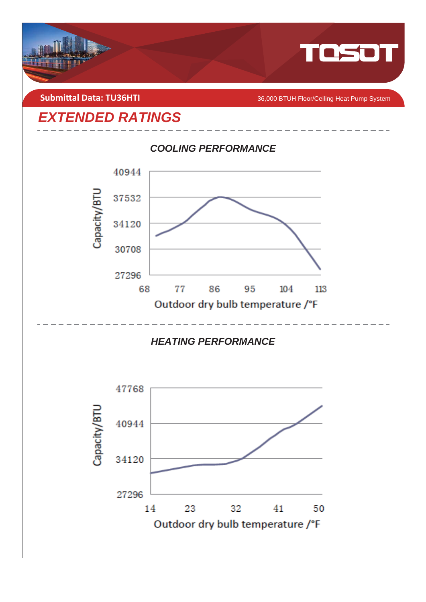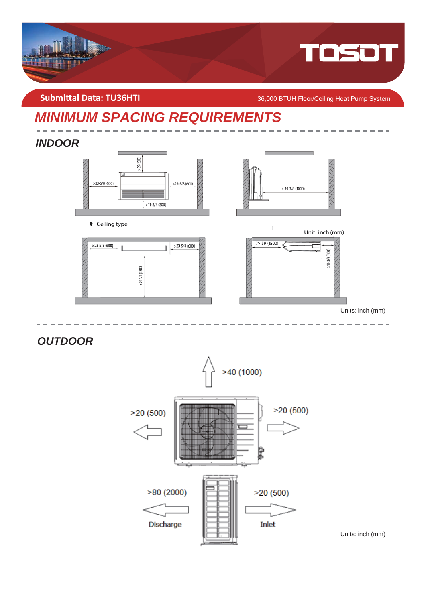

**Submittal Data: TU36HTI** 2000 BTUH Floor/Ceiling Heat Pump System

# *MINIMUM SPACING REQUIREMENTS*

## *INDOOR*



◆ Ceiling type





Unit: inch (mm)



Units: inch (mm)

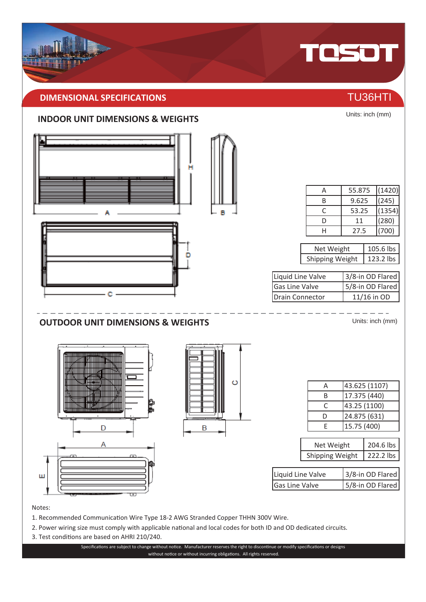# **DIMENSIONAL SPECIFICATIONS** THE CONSTRUCTION OF TU36HTI

### **INDOOR UNIT DIMENSIONS & WEIGHTS**



### Notes:

- 1. Recommended Communication Wire Type 18-2 AWG Stranded Copper THHN 300V Wire.
- 2. Power wiring size must comply with applicable national and local codes for both ID and OD dedicated circuits.
- 3. Test conditions are based on AHRI 210/240.

Specifications are subject to change without notice. Manufacturer reserves the right to discontinue or modify specifications or designs without notice or without incurring obligations. All rights reserved.



Units: inch (mm)

# TOSOT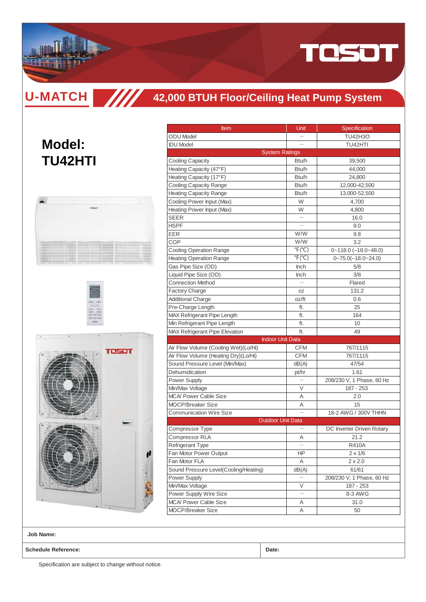

**U-MATCH TITT** 

# **42,000 BTUH Floor/Ceiling Heat Pump System**

# **Model: TU42HTI**







| Item                                                    | Unit                           | Specification                |
|---------------------------------------------------------|--------------------------------|------------------------------|
| <b>ODU</b> Model                                        |                                | <b>TU42H3O</b>               |
| <b>IDU Model</b>                                        |                                | TU42HTI                      |
|                                                         | <b>System Ratings</b>          |                              |
| <b>Cooling Capacity</b>                                 | Btu/h                          | 39,500                       |
| Heating Capacity (47°F)                                 | Btu/h                          | 44,000                       |
| Heating Capacity (17°F)                                 | Btu/h                          | 24,800                       |
| <b>Cooling Capacity Range</b>                           | Btu/h                          | 12,000-42,500                |
| <b>Heating Capacity Range</b>                           | Btu/h                          | 13,000-52,500                |
| Cooling Power Input (Max)                               | W                              | 4,700                        |
| Heating Power Input (Max)                               | W                              | 4,800                        |
| SEER                                                    |                                | 16.0                         |
| HSPF                                                    |                                | 9.0                          |
| EER                                                     | W/W                            | 9.8                          |
| COP                                                     | W/W                            | 3.2                          |
| Cooling Operation Range                                 | $\degree$ F( $\degree$ C)      | $0 - 118.0$ $(-18.0 - 48.0)$ |
| <b>Heating Operation Range</b>                          | $\mathrm{P}(\mathrm{C})$       | $0 - 75.0(-18.0 - 24.0)$     |
| Gas Pipe Size (OD)                                      | Inch                           | 5/8                          |
| Liquid Pipe Size (OD)                                   | Inch                           | 3/8                          |
| <b>Connection Method</b>                                |                                | Flared                       |
| <b>Factory Charge</b>                                   |                                | 131.2                        |
| <b>Additional Charge</b>                                | 0Z<br>oz/ft                    | 0.6                          |
|                                                         |                                | 25                           |
| Pre-Charge Length<br><b>MAX Refrigerant Pipe Length</b> | ft.                            |                              |
|                                                         | ft.                            | 164                          |
| Min Refrigerant Pipe Length                             | ft.                            | 10                           |
| <b>MAX Refrigerant Pipe Elevation</b>                   | ft.<br><b>Indoor Unit Data</b> | 49                           |
|                                                         | <b>CFM</b>                     | 767/1115                     |
| Air Flow Volume (Cooling Wet)(Lo/Hi)                    | <b>CFM</b>                     | 767/1115                     |
| Air Flow Volume (Heating Dry)(Lo/Hi)                    |                                | 47/54                        |
| Sound Pressure Level (Min/Max)<br>Dehumidication        | dB(A)                          | 1.61                         |
|                                                         | pt/hr                          |                              |
| Power Supply                                            | V                              | 208/230 V, 1 Phase, 60 Hz    |
| Min/Max Voltage                                         |                                | 187 - 253                    |
| <b>MCA/ Power Cable Size</b>                            | Α                              | 2.0                          |
| <b>MOCP/Breaker Size</b>                                | Α                              | 15                           |
| <b>Communication Wire Size</b>                          |                                | 18-2 AWG / 300V THHN         |
|                                                         | <b>Outdoor Unit Data</b>       |                              |
| Compressor Type                                         |                                | DC Inverter Driven Rotary    |
| Compressor RLA                                          | Α                              | 21.2                         |
| <b>Refrigerant Type</b>                                 | $\qquad \qquad -$              | R410A                        |
| Fan Motor Power Output                                  | ΗP                             | $2 \times 1/6$               |
| Fan Motor FLA                                           | Α                              | $2 \times 2.0$               |
| Sound Pressure Level(Cooling/Heating)                   | dB(A)                          | 61/61                        |
| Power Supply                                            |                                | 208/230 V, 1 Phase, 60 Hz    |
| Min/Max Voltage                                         | V                              | 187 - 253                    |
| Power Supply Wire Size                                  | $\overline{\phantom{0}}$       | 8-3 AWG                      |
| <b>MCA/ Power Cable Size</b>                            | Α                              | 31.0                         |
| MOCP/Breaker Size                                       | Α                              | 50                           |

**Job Name:**

**Schedule Reference: Date:**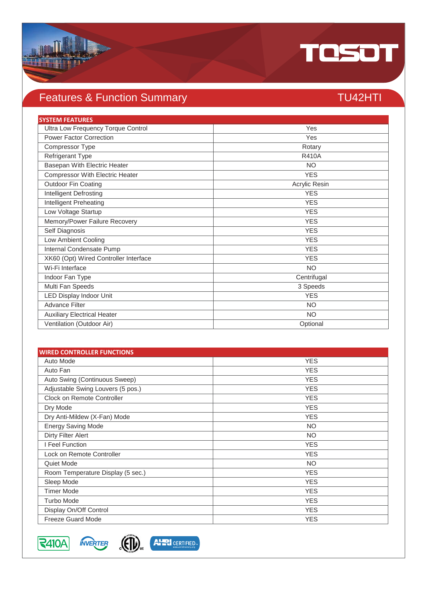

# Features & Function Summary TU42HTI

| <b>SYSTEM FEATURES</b>                |               |
|---------------------------------------|---------------|
| Ultra Low Frequency Torque Control    | Yes           |
| <b>Power Factor Correction</b>        | Yes           |
| Compressor Type                       | Rotary        |
| Refrigerant Type                      | <b>R410A</b>  |
| Basepan With Electric Heater          | <b>NO</b>     |
| Compressor With Electric Heater       | <b>YES</b>    |
| Outdoor Fin Coating                   | Acrylic Resin |
| Intelligent Defrosting                | <b>YES</b>    |
| Intelligent Preheating                | <b>YES</b>    |
| Low Voltage Startup                   | <b>YES</b>    |
| Memory/Power Failure Recovery         | <b>YES</b>    |
| Self Diagnosis                        | <b>YES</b>    |
| Low Ambient Cooling                   | <b>YES</b>    |
| Internal Condensate Pump              | <b>YES</b>    |
| XK60 (Opt) Wired Controller Interface | <b>YES</b>    |
| Wi-Fi Interface                       | <b>NO</b>     |
| Indoor Fan Type                       | Centrifugal   |
| Multi Fan Speeds                      | 3 Speeds      |
| LED Display Indoor Unit               | <b>YES</b>    |
| <b>Advance Filter</b>                 | <b>NO</b>     |
| <b>Auxiliary Electrical Heater</b>    | <b>NO</b>     |
| Ventilation (Outdoor Air)             | Optional      |

| <b>WIRED CONTROLLER FUNCTIONS</b> |            |  |
|-----------------------------------|------------|--|
| Auto Mode                         | <b>YES</b> |  |
| Auto Fan                          | <b>YES</b> |  |
| Auto Swing (Continuous Sweep)     | <b>YES</b> |  |
| Adjustable Swing Louvers (5 pos.) | <b>YES</b> |  |
| Clock on Remote Controller        | <b>YES</b> |  |
| Dry Mode                          | <b>YES</b> |  |
| Dry Anti-Mildew (X-Fan) Mode      | <b>YES</b> |  |
| <b>Energy Saving Mode</b>         | <b>NO</b>  |  |
| Dirty Filter Alert                | <b>NO</b>  |  |
| I Feel Function                   | <b>YES</b> |  |
| Lock on Remote Controller         | <b>YES</b> |  |
| Quiet Mode                        | <b>NO</b>  |  |
| Room Temperature Display (5 sec.) | <b>YES</b> |  |
| Sleep Mode                        | <b>YES</b> |  |
| <b>Timer Mode</b>                 | <b>YES</b> |  |
| <b>Turbo Mode</b>                 | <b>YES</b> |  |
| Display On/Off Control            | <b>YES</b> |  |
| <b>Freeze Guard Mode</b>          | <b>YES</b> |  |

**R410A MVERTER** 



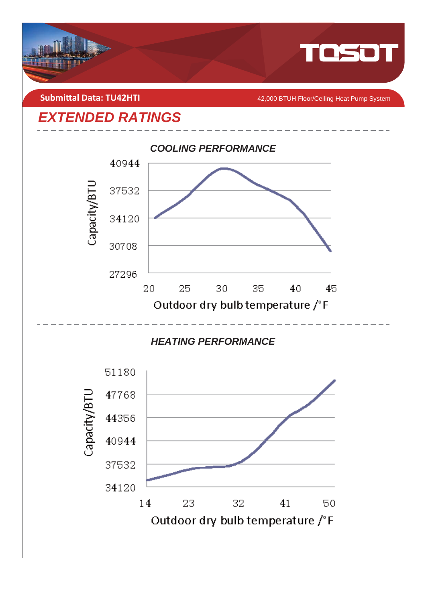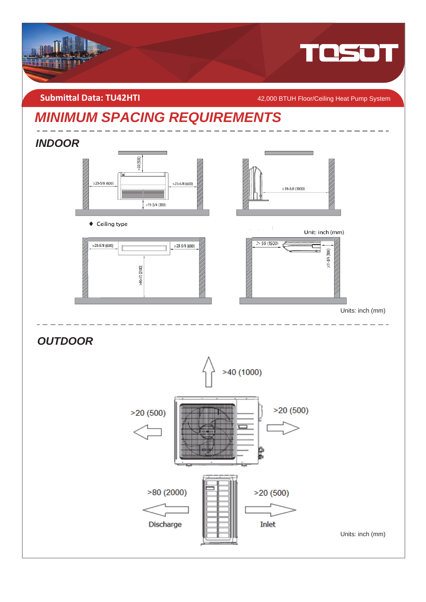

**Submittal Data: TU42HTI** *A MUA**A***<sub>2</sub>,000 BTUH Floor/Ceiling Heat Pump System** 

# *MINIMUM SPACING REQUIREMENTS*

## *INDOOR*



◆ Ceiling type





Unit: inch (mm)



Units: inch (mm)

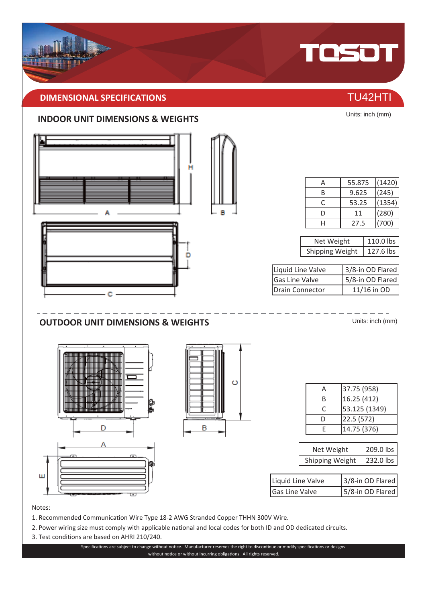# **DIMENSIONAL SPECIFICATIONS** THE RESERVE OF THE RESERVE TO A 2HTI

### **INDOOR UNIT DIMENSIONS & WEIGHTS**



Notes:

- 1. Recommended Communication Wire Type 18-2 AWG Stranded Copper THHN 300V Wire.
- 2. Power wiring size must comply with applicable national and local codes for both ID and OD dedicated circuits.
- 3. Test conditions are based on AHRI 210/240.

Specifications are subject to change without notice. Manufacturer reserves the right to discontinue or modify specifications or designs without notice or without incurring obligations. All rights reserved.



TOSOT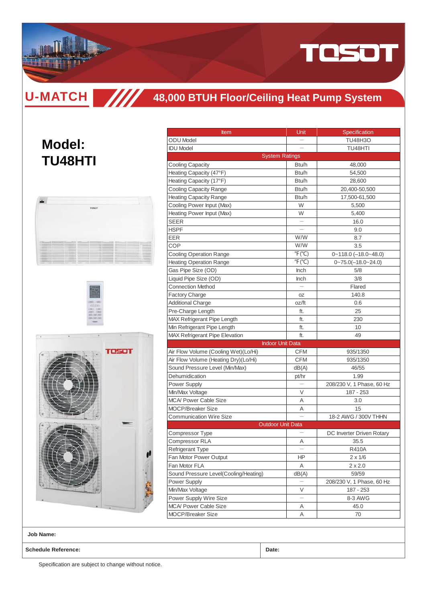

**U-MATCH TITT** 

## **48,000 BTUH Floor/Ceiling Heat Pump System**

# **Model: TU48HTI**







| <b>Item</b>                                       | Unit                      | Specification             |
|---------------------------------------------------|---------------------------|---------------------------|
| <b>ODU</b> Model                                  |                           | <b>TU48H3O</b>            |
| <b>IDU Model</b>                                  |                           | TU48HTI                   |
|                                                   | <b>System Ratings</b>     |                           |
| <b>Cooling Capacity</b>                           | Btu/h                     | 48,000                    |
| Heating Capacity (47°F)                           | Btu/h                     | 54,500                    |
| Heating Capacity (17°F)                           | Btu/h                     | 28,600                    |
| <b>Cooling Capacity Range</b>                     | Btu/h                     | 20,400-50,500             |
| <b>Heating Capacity Range</b>                     | Btu/h                     | 17,500-61,500             |
| Cooling Power Input (Max)                         | W                         | 5,500                     |
| Heating Power Input (Max)                         | W                         | 5,400                     |
| SEER                                              |                           | 16.0                      |
| <b>HSPF</b>                                       |                           | 9.0                       |
| EER                                               | W/W                       | 8.7                       |
| <b>COP</b>                                        | W/W                       | 3.5                       |
| <b>Cooling Operation Range</b>                    | $\degree$ F( $\degree$ C) | $0 - 118.0$ (-18.0~48.0)  |
| <b>Heating Operation Range</b>                    | $\overline{P}F$ (°C)      | $0 - 75.0(-18.0 - 24.0)$  |
| Gas Pipe Size (OD)                                | <b>Inch</b>               | 5/8                       |
| Liquid Pipe Size (OD)                             | <b>Inch</b>               | 3/8                       |
| <b>Connection Method</b>                          |                           | Flared                    |
| <b>Factory Charge</b>                             | OZ                        | 140.8                     |
| <b>Additional Charge</b>                          | oz/ft                     | 0.6                       |
| Pre-Charge Length                                 | ft.                       | 25                        |
| <b>MAX Refrigerant Pipe Length</b>                | ft.                       | 230                       |
| Min Refrigerant Pipe Length                       | ft.                       | 10                        |
| MAX Refrigerant Pipe Elevation                    | ft.                       | 49                        |
|                                                   | <b>Indoor Unit Data</b>   |                           |
| Air Flow Volume (Cooling Wet)(Lo/Hi)              | <b>CFM</b>                | 935/1350                  |
| Air Flow Volume (Heating Dry)(Lo/Hi)              | <b>CFM</b>                | 935/1350                  |
| Sound Pressure Level (Min/Max)                    | dB(A)                     | 46/55                     |
| Dehumidication                                    | pt/hr                     | 1.99                      |
| Power Supply                                      |                           | 208/230 V, 1 Phase, 60 Hz |
| Min/Max Voltage                                   | V                         | 187 - 253                 |
| <b>MCA/ Power Cable Size</b>                      | Α                         | 3.0                       |
| <b>MOCP/Breaker Size</b>                          | Α                         | 15                        |
| <b>Communication Wire Size</b>                    | $\overline{a}$            | 18-2 AWG / 300V THHN      |
|                                                   | <b>Outdoor Unit Data</b>  |                           |
| Compressor Type                                   |                           | DC Inverter Driven Rotary |
| Compressor RLA                                    | Α                         | 35.5                      |
| Refrigerant Type                                  | $\qquad \qquad -$         | R410A                     |
| Fan Motor Power Output                            | HP.                       | $2 \times 1/6$            |
| Fan Motor FLA                                     | Α                         | 2 x 2.0                   |
| Sound Pressure Level(Cooling/Heating)             | dB(A)                     | 59/59                     |
| Power Supply                                      |                           | 208/230 V, 1 Phase, 60 Hz |
| Min/Max Voltage                                   | V                         |                           |
|                                                   | $\overline{\phantom{0}}$  | 187 - 253                 |
| Power Supply Wire Size                            |                           | 8-3 AWG                   |
| MCA/ Power Cable Size<br><b>MOCP/Breaker Size</b> | Α                         | 45.0                      |
|                                                   | Α                         | 70                        |

**Job Name:**

**Schedule Reference: Date:**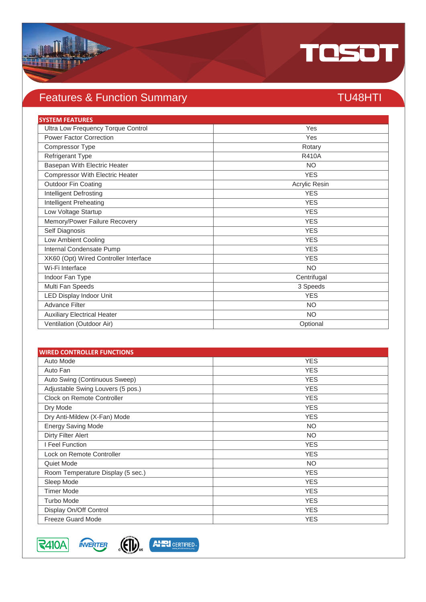

# Features & Function Summary TU48HTI

| <b>SYSTEM FEATURES</b>                 |               |
|----------------------------------------|---------------|
| Ultra Low Frequency Torque Control     | Yes           |
| <b>Power Factor Correction</b>         | Yes           |
| Compressor Type                        | Rotary        |
| Refrigerant Type                       | <b>R410A</b>  |
| Basepan With Electric Heater           | <b>NO</b>     |
| <b>Compressor With Electric Heater</b> | <b>YES</b>    |
| <b>Outdoor Fin Coating</b>             | Acrylic Resin |
| Intelligent Defrosting                 | <b>YES</b>    |
| Intelligent Preheating                 | <b>YES</b>    |
| Low Voltage Startup                    | <b>YES</b>    |
| Memory/Power Failure Recovery          | <b>YES</b>    |
| Self Diagnosis                         | <b>YES</b>    |
| Low Ambient Cooling                    | <b>YES</b>    |
| Internal Condensate Pump               | <b>YES</b>    |
| XK60 (Opt) Wired Controller Interface  | <b>YES</b>    |
| Wi-Fi Interface                        | <b>NO</b>     |
| Indoor Fan Type                        | Centrifugal   |
| Multi Fan Speeds                       | 3 Speeds      |
| <b>LED Display Indoor Unit</b>         | <b>YES</b>    |
| <b>Advance Filter</b>                  | <b>NO</b>     |
| <b>Auxiliary Electrical Heater</b>     | <b>NO</b>     |
| Ventilation (Outdoor Air)              | Optional      |

| <b>WIRED CONTROLLER FUNCTIONS</b> |            |  |
|-----------------------------------|------------|--|
| Auto Mode                         | <b>YES</b> |  |
| Auto Fan                          | <b>YES</b> |  |
| Auto Swing (Continuous Sweep)     | <b>YES</b> |  |
| Adjustable Swing Louvers (5 pos.) | <b>YES</b> |  |
| Clock on Remote Controller        | <b>YES</b> |  |
| Dry Mode                          | <b>YES</b> |  |
| Dry Anti-Mildew (X-Fan) Mode      | <b>YES</b> |  |
| <b>Energy Saving Mode</b>         | <b>NO</b>  |  |
| Dirty Filter Alert                | <b>NO</b>  |  |
| I Feel Function                   | <b>YES</b> |  |
| Lock on Remote Controller         | <b>YES</b> |  |
| Quiet Mode                        | <b>NO</b>  |  |
| Room Temperature Display (5 sec.) | <b>YES</b> |  |
| Sleep Mode                        | <b>YES</b> |  |
| <b>Timer Mode</b>                 | <b>YES</b> |  |
| Turbo Mode                        | <b>YES</b> |  |
| Display On/Off Control            | <b>YES</b> |  |
| <b>Freeze Guard Mode</b>          | <b>YES</b> |  |



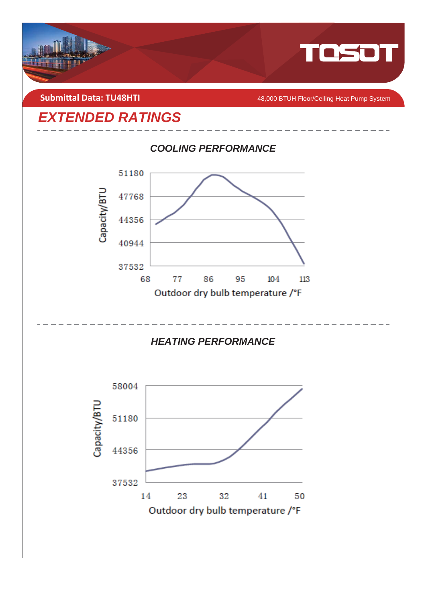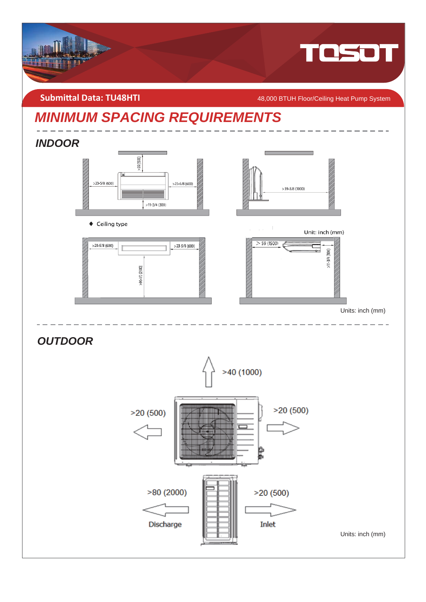

**Submittal Data: TU48HTI** *COMBILITY AB,000 BTUH Floor/Ceiling Heat Pump System* 

# *MINIMUM SPACING REQUIREMENTS*

## *INDOOR*



◆ Ceiling type





Unit: inch (mm)



Units: inch (mm)